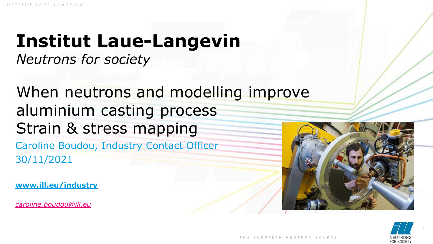# **Institut Laue-Langevin**

*Neutrons for society*

Caroline Boudou, Industry Contact Officer 30/11/2021 When neutrons and modelling improve aluminium casting process Strain & stress mapping

**www.ill.eu/industry** 

*[caroline.boudou@ill.eu](mailto:caroline.boudou@ill.eu)*





1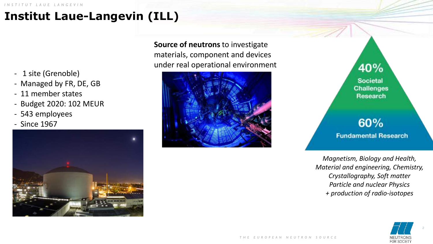# **Institut Laue-Langevin (ILL)**

- 1 site (Grenoble)
- Managed by FR, DE, GB
- 11 member states
- Budget 2020: 102 MEUR
- 543 employees
- Since 1967



**Source of neutrons** to investigate materials, component and devices under real operational environment



40% Societal **Challenges** Research

# 60% **Fundamental Research**

*Magnetism, Biology and Health, Material and engineering, Chemistry, Crystallography, Soft matter Particle and nuclear Physics + production of radio-isotopes*

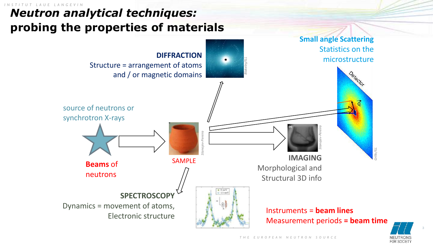### *I N S T I T U T L A U E L A N G E V I N Neutron analytical techniques:*  **probing the properties of materials**



3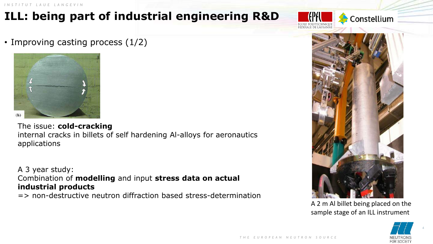# **ILL: being part of industrial engineering R&D**

• Improving casting process (1/2)



The issue: **cold-cracking** internal cracks in billets of self hardening Al-alloys for aeronautics applications

A 3 year study: Combination of **modelling** and input **stress data on actual industrial products** 

=> non-destructive neutron diffraction based stress-determination



Constellium

A 2 m Al billet being placed on the sample stage of an ILL instrument



4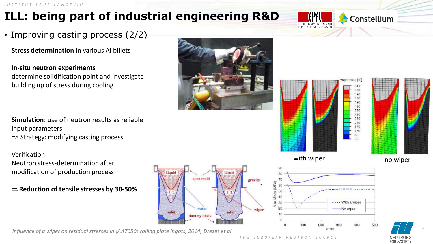# **ILL: being part of industrial engineering R&D**

### • Improving casting process (2/2)

**Stress determination** in various Al billets

**In-situ neutron experiments** determine solidification point and investigate building up of stress during cooling

**Simulation**: use of neutron results as reliable input parameters => Strategy: modifying casting process

Verification: Neutron stress-determination after modification of production process

**Reduction of tensile stresses by 30-50%** 



*Influence of a wiper on residual stresses in {AA7050} rolling plate ingots, 2014, Drezet et al.*







Constellium

mperature (°C

630

FOR SOCIET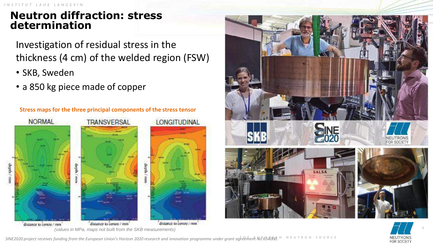# **Neutron diffraction: stress determination**

Investigation of residual stress in the thickness (4 cm) of the welded region (FSW)

- SKB, Sweden
- a 850 kg piece made of copper







6

SINE2020 project receives funding from the European Union's Horizon 2020 research and innovation programme under grant agreement No<sup>p</sup>654000. <sup>NNEUTRONSOUR</sup>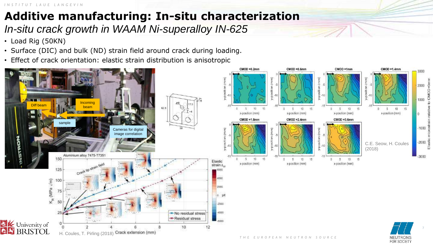# **Additive manufacturing: In-situ characterization** *In-situ crack growth in WAAM Ni-superalloy IN-625*

- Load Rig (50KN)
- Surface (DIC) and bulk (ND) strain field around crack during loading.
- Effect of crack orientation: elastic strain distribution is anisotropic



7

3000

 $\frac{1}{2000}$   $\frac{1}{2000}$   $\frac{1}{2000}$ 

1000

1000

 $-2000$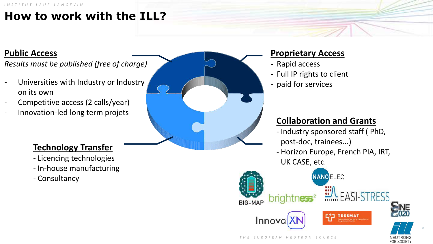# **How to work with the ILL?**

### **Public Access**

*Results must be published (free of charge)*

- Universities with Industry or Industry on its own
- Competitive access (2 calls/year)
- Innovation-led long term projets

### **Technology Transfer**

- Licencing technologies
- In-house manufacturing
- Consultancy

### **Proprietary Access**

- Rapid access
- Full IP rights to client
- paid for services

## **Collaboration and Grants**

- Industry sponsored staff ( PhD, post-doc, trainees...)
- Horizon Europe, French PIA, IRT, UK CASE, etc.



8

FOR SOCIETY